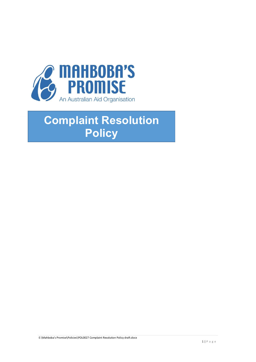

# **Complaint Resolution Policy**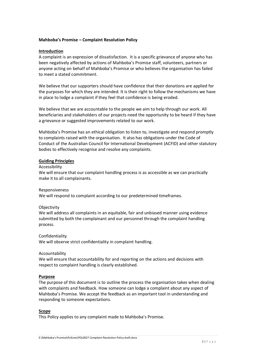## **Mahboba's Promise – Complaint Resolution Policy**

## **Introduction**

A complaint is an expression of dissatisfaction. It is a specific grievance of anyone who has been negatively affected by actions of Mahboba's Promise staff, volunteers, partners or anyone acting on behalf of Mahboba's Promise or who believes the organisation has failed to meet a stated commitment.

We believe that our supporters should have confidence that their donations are applied for the purposes for which they are intended. It is their right to follow the mechanisms we have in place to lodge a complaint if they feel that confidence is being eroded.

We believe that we are accountable to the people we aim to help through our work. All beneficiaries and stakeholders of our projects need the opportunity to be heard if they have a grievance or suggested improvements related to our work.

Mahboba's Promise has an ethical obligation to listen to, investigate and respond promptly to complaints raised with the organisation. It also has obligations under the Code of Conduct of the Australian Council for International Development (ACFID) and other statutory bodies to effectively recognise and resolve any complaints.

#### **Guiding Principles**

#### Accessibility

We will ensure that our complaint handling process is as accessible as we can practically make it to all complainants.

#### Responsiveness

We will respond to complaint according to our predetermined timeframes.

#### **Objectivity**

We will address all complaints in an equitable, fair and unbiased manner using evidence submitted by both the complainant and our personnel through the complaint handling process.

#### Confidentiality

We will observe strict confidentiality in complaint handling.

#### Accountability

We will ensure that accountability for and reporting on the actions and decisions with respect to complaint handling is clearly established.

#### **Purpose**

The purpose of this document is to outline the process the organisation takes when dealing with complaints and feedback. How someone can lodge a complaint about any aspect of Mahboba's Promise. We accept the feedback as an important tool in understanding and responding to someone expectations.

## **Scope**

This Policy applies to any complaint made to Mahboba's Promise.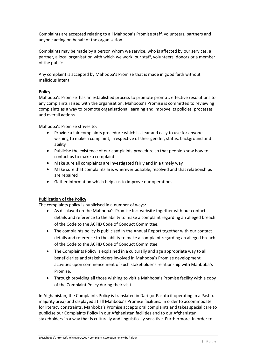Complaints are accepted relating to all Mahboba's Promise staff, volunteers, partners and anyone acting on behalf of the organisation.

Complaints may be made by a person whom we service, who is affected by our services, a partner, a local organisation with which we work, our staff, volunteers, donors or a member of the public.

Any complaint is accepted by Mahboba's Promise that is made in good faith without malicious intent.

## **Policy**

Mahboba's Promise has an established process to promote prompt, effective resolutions to any complaints raised with the organisation. Mahboba's Promise is committed to reviewing complaints as a way to promote organisational learning and improve its policies, processes and overall actions..

Mahboba's Promise strives to:

- Provide a fair complaints procedure which is clear and easy to use for anyone wishing to make a complaint, irrespective of their gender, status, background and ability
- Publicise the existence of our complaints procedure so that people know how to contact us to make a complaint
- Make sure all complaints are investigated fairly and in a timely way
- Make sure that complaints are, wherever possible, resolved and that relationships are repaired
- Gather information which helps us to improve our operations

# **Publication of the Policy**

The complaints policy is publicised in a number of ways:

- As displayed on the Mahboba's Promise Inc. website together with our contact details and reference to the ability to make a complaint regarding an alleged breach of the Code to the ACFID Code of Conduct Committee.
- The complaints policy is publicised in the Annual Report together with our contact details and reference to the ability to make a complaint regarding an alleged breach of the Code to the ACFID Code of Conduct Committee.
- The Complaints Policy is explained in a culturally and age appropriate way to all beneficiaries and stakeholders involved in Mahboba's Promise development activities upon commencement of such stakeholder's relationship with Mahboba's Promise.
- Through providing all those wishing to visit a Mahboba's Promise facility with a copy of the Complaint Policy during their visit.

In Afghanistan, the Complaints Policy is translated in Dari (or Pashtu if operating in a Pashtumajority area) and displayed at all Mahboba's Promise facilities. In order to accommodate for literacy constraints, Mahboba's Promise accepts oral complaints and takes special care to publicise our Complaints Policy in our Afghanistan facilities and to our Afghanistan stakeholders in a way that is culturally and linguistically sensitive. Furthermore, in order to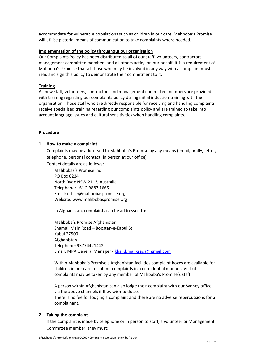accommodate for vulnerable populations such as children in our care, Mahboba's Promise will utilise pictorial means of communication to take complaints where needed.

## **Implementation of the policy throughout our organisation**

Our Complaints Policy has been distributed to all of our staff, volunteers, contractors, management committee members and all others acting on our behalf. It is a requirement of Mahboba's Promise that all those who may be involved in any way with a complaint must read and sign this policy to demonstrate their commitment to it.

## **Training**

All new staff, volunteers, contractors and management committee members are provided with training regarding our complaints policy during initial induction training with the organisation. Those staff who are directly responsible for receiving and handling complaints receive specialised training regarding our complaints policy and are trained to take into account language issues and cultural sensitivities when handling complaints.

## **Procedure**

#### **1. How to make a complaint**

Complaints may be addressed to Mahboba's Promise by any means (email, orally, letter, telephone, personal contact, in person at our office).

Contact details are as follows:

Mahbobas's Promise Inc PO Box 6234 North Ryde NSW 2113, Australia Telephone: +61 2 9887 1665 Email: [office@mahbobaspromise.org](mailto:mahboba@mahbobaspromise.org) Website[: www.mahbobaspromise.org](http://www.mahbobaspromise.org/)

In Afghanistan, complaints can be addressed to:

Mahboba's Promise Afghanistan Shamali Main Road – Boostan-e-Kabul St Kabul 27500 Afghanistan Telephone: 93774421442 Email: MPA General Manager - [khalid.malikzada@gmail.com](mailto:khalid.malikzada@gmail.com)

Within Mahboba's Promise's Afghanistan facilities complaint boxes are available for children in our care to submit complaints in a confidential manner. Verbal complaints may be taken by any member of Mahboba's Promise's staff.

A person within Afghanistan can also lodge their complaint with our Sydney office via the above channels if they wish to do so.

There is no fee for lodging a complaint and there are no adverse repercussions for a complainant.

## **2. Taking the complaint**

If the complaint is made by telephone or in person to staff, a volunteer or Management Committee member, they must: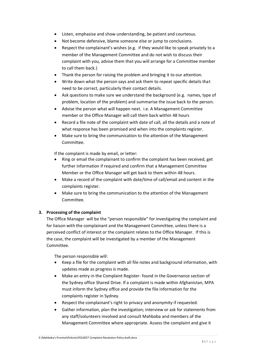- Listen, emphasise and show understanding, be patient and courteous.
- Not become defensive, blame someone else or jump to conclusions.
- Respect the complainant's wishes (e.g. if they would like to speak privately to a member of the Management Committee and do not wish to discuss their complaint with you, advise them that you will arrange for a Committee member to call them back.)
- Thank the person for raising the problem and bringing it to our attention.
- Write down what the person says and ask them to repeat specific details that need to be correct, particularly their contact details.
- Ask questions to make sure we understand the background (e.g. names, type of problem, location of the problem) and summarise the issue back to the person.
- Advise the person what will happen next. i.e. A Management Committee member or the Office Manager will call them back within 48 hours
- Record a file note of the complaint with date of call, all the details and a note of what response has been promised and when into the complaints register.
- Make sure to bring the communication to the attention of the Management Committee.

If the complaint is made by email, or letter:

- Ring or email the complainant to confirm the complaint has been received, get further information if required and confirm that a Management Committee Member or the Office Manager will get back to them within 48 hours.
- Make a record of the complaint with date/time of call/email and content in the complaints register.
- Make sure to bring the communication to the attention of the Management Committee.

# **3. Processing of the complaint**

The Office Manager will be the "person responsible" for investigating the complaint and for liaison with the complainant and the Management Committee, unless there is a perceived conflict of interest or the complaint relates to the Office Manager. If this is the case, the complaint will be investigated by a member of the Management Committee.

The person responsible will:

- Keep a file for the complaint with all file notes and background information, with updates made as progress is made.
- Make an entry in the Complaint Register- found in the Governance section of the Sydney office Shared Drive. If a complaint is made within Afghanistan, MPA must inform the Sydney office and provide the file information for the complaints register in Sydney.
- Respect the complainant's right to privacy and anonymity if requested.
- Gather information, plan the investigation; interview or ask for statements from any staff/volunteers involved and consult Mahboba and members of the Management Committee where appropriate. Assess the complaint and give it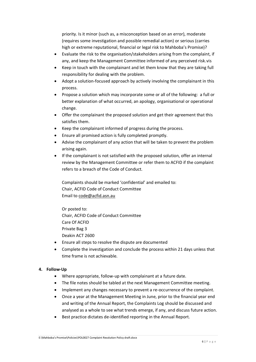priority. Is it minor (such as, a misconception based on an error), moderate (requires some investigation and possible remedial action) or serious (carries high or extreme reputational, financial or legal risk to Mahboba's Promise)?

- Evaluate the risk to the organisation/stakeholders arising from the complaint, if any, and keep the Management Committee informed of any perceived risk.vis
- Keep in touch with the complainant and let them know that they are taking full responsibility for dealing with the problem.
- Adopt a solution-focused approach by actively involving the complainant in this process.
- Propose a solution which may incorporate some or all of the following: a full or better explanation of what occurred, an apology, organisational or operational change.
- Offer the complainant the proposed solution and get their agreement that this satisfies them.
- Keep the complainant informed of progress during the process.
- Ensure all promised action is fully completed promptly.
- Advise the complainant of any action that will be taken to prevent the problem arising again.
- If the complainant is not satisfied with the proposed solution, offer an internal review by the Management Committee or refer them to ACFID if the complaint refers to a breach of the Code of Conduct.

Complaints should be marked 'confidential' and emailed to: Chair, ACFID Code of Conduct Committee Email to [code@acfid.asn.au](mailto:code@acfid.asn.au)

Or posted to: Chair, ACFID Code of Conduct Committee Care Of ACFID Private Bag 3 Deakin ACT 2600

- Ensure all steps to resolve the dispute are documented
- Complete the investigation and conclude the process within 21 days unless that time frame is not achievable.

# **4. Follow-Up**

- Where appropriate, follow-up with complainant at a future date.
- The file notes should be tabled at the next Management Committee meeting.
- Implement any changes necessary to prevent a re-occurrence of the complaint.
- Once a year at the Management Meeting in June, prior to the financial year end and writing of the Annual Report, the Complaints Log should be discussed and analysed as a whole to see what trends emerge, if any, and discuss future action.
- Best practice dictates de-identified reporting in the Annual Report.